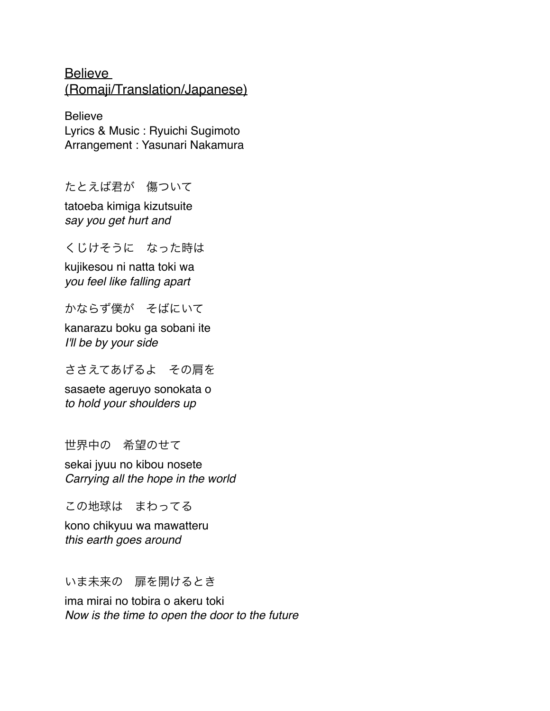**Believe** (Romaji/Translation/Japanese)

Believe Lyrics & Music : Ryuichi Sugimoto Arrangement : Yasunari Nakamura

たとえば君が 傷ついて

tatoeba kimiga kizutsuite *say you get hurt and*

くじけそうに なった時は

kujikesou ni natta toki wa *you feel like falling apart*

かならず僕が そばにいて

kanarazu boku ga sobani ite *I'll be by your side*

ささえてあげるよ その肩を

sasaete ageruyo sonokata o *to hold your shoulders up*

世界中の 希望のせて

sekai jyuu no kibou nosete *Carrying all the hope in the world*

この地球は まわってる

kono chikyuu wa mawatteru *this earth goes around*

いま未来の 扉を開けるとき

ima mirai no tobira o akeru toki *Now is the time to open the door to the future*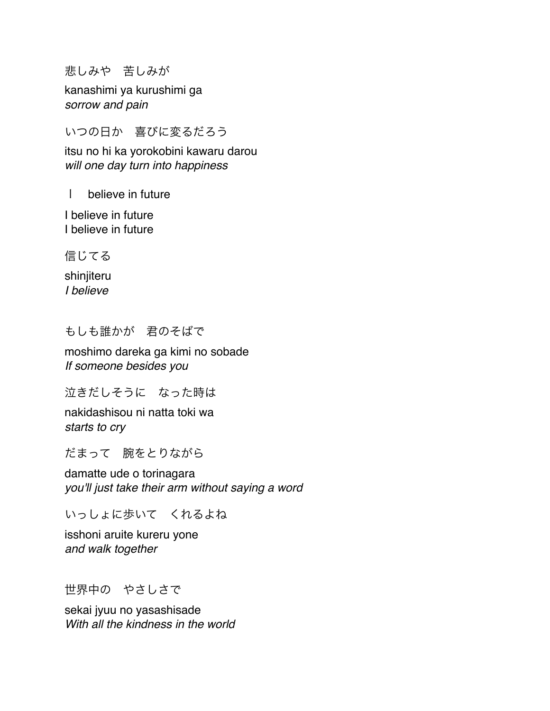悲しみや 苦しみが

kanashimi ya kurushimi ga *sorrow and pain*

いつの日か 喜びに変るだろう

itsu no hi ka yorokobini kawaru darou *will one day turn into happiness*

I believe in future

I believe in future I believe in future

信じてる

shinjiteru *I believe*

もしも誰かが 君のそばで

moshimo dareka ga kimi no sobade *If someone besides you*

泣きだしそうに なった時は

nakidashisou ni natta toki wa *starts to cry*

だまって 腕をとりながら

damatte ude o torinagara *you'll just take their arm without saying a word*

いっしょに歩いて くれるよね

isshoni aruite kureru yone *and walk together*

世界中の やさしさで

sekai jyuu no yasashisade *With all the kindness in the world*